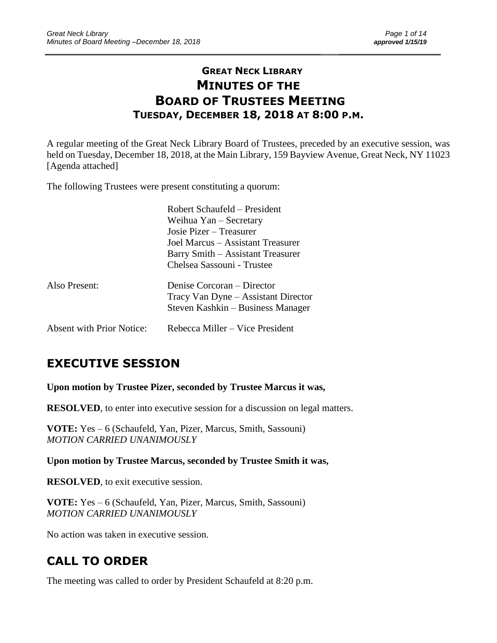# **GREAT NECK LIBRARY MINUTES OF THE BOARD OF TRUSTEES MEETING TUESDAY, DECEMBER 18, 2018 AT 8:00 P.M.**

\_\_\_\_\_\_\_\_\_\_\_\_\_\_\_\_\_\_\_\_\_\_\_\_\_\_\_\_\_\_\_\_\_\_\_\_\_\_\_\_\_\_\_\_\_\_\_\_\_\_\_\_\_\_\_\_\_\_\_\_\_\_\_\_\_\_\_\_ \_\_\_\_\_\_\_\_\_\_\_\_\_\_\_\_\_\_\_\_\_\_\_\_\_

A regular meeting of the Great Neck Library Board of Trustees, preceded by an executive session, was held on Tuesday, December 18, 2018, at the Main Library, 159 Bayview Avenue, Great Neck, NY 11023 [Agenda attached]

The following Trustees were present constituting a quorum:

|                                  | Robert Schaufeld – President<br>Weihua $Yan -$ Secretary |  |
|----------------------------------|----------------------------------------------------------|--|
|                                  |                                                          |  |
|                                  | Josie Pizer – Treasurer                                  |  |
|                                  | Joel Marcus – Assistant Treasurer                        |  |
|                                  | Barry Smith – Assistant Treasurer                        |  |
|                                  | Chelsea Sassouni - Trustee                               |  |
| Also Present:                    | Denise Corcoran – Director                               |  |
|                                  | Tracy Van Dyne – Assistant Director                      |  |
|                                  | Steven Kashkin – Business Manager                        |  |
| <b>Absent with Prior Notice:</b> | Rebecca Miller – Vice President                          |  |

# **EXECUTIVE SESSION**

**Upon motion by Trustee Pizer, seconded by Trustee Marcus it was,**

**RESOLVED**, to enter into executive session for a discussion on legal matters.

**VOTE:** Yes – 6 (Schaufeld, Yan, Pizer, Marcus, Smith, Sassouni) *MOTION CARRIED UNANIMOUSLY*

**Upon motion by Trustee Marcus, seconded by Trustee Smith it was,**

**RESOLVED**, to exit executive session.

**VOTE:** Yes – 6 (Schaufeld, Yan, Pizer, Marcus, Smith, Sassouni) *MOTION CARRIED UNANIMOUSLY*

No action was taken in executive session.

# **CALL TO ORDER**

The meeting was called to order by President Schaufeld at 8:20 p.m.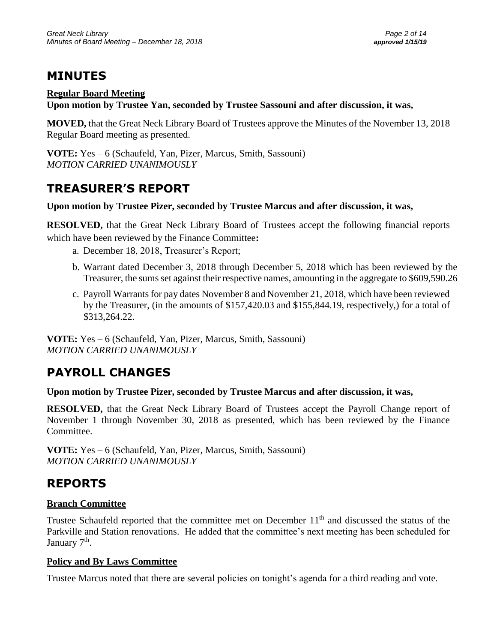# **MINUTES**

### **Regular Board Meeting**

**Upon motion by Trustee Yan, seconded by Trustee Sassouni and after discussion, it was,**

**MOVED,** that the Great Neck Library Board of Trustees approve the Minutes of the November 13, 2018 Regular Board meeting as presented.

**VOTE:** Yes – 6 (Schaufeld, Yan, Pizer, Marcus, Smith, Sassouni) *MOTION CARRIED UNANIMOUSLY*

# **TREASURER'S REPORT**

### **Upon motion by Trustee Pizer, seconded by Trustee Marcus and after discussion, it was,**

**RESOLVED,** that the Great Neck Library Board of Trustees accept the following financial reports which have been reviewed by the Finance Committee**:** 

- a. December 18, 2018, Treasurer's Report;
- b. Warrant dated December 3, 2018 through December 5, 2018 which has been reviewed by the Treasurer, the sums set against their respective names, amounting in the aggregate to \$609,590.26
- c. Payroll Warrants for pay dates November 8 and November 21, 2018, which have been reviewed by the Treasurer, (in the amounts of \$157,420.03 and \$155,844.19, respectively,) for a total of \$313,264.22.

**VOTE:** Yes – 6 (Schaufeld, Yan, Pizer, Marcus, Smith, Sassouni) *MOTION CARRIED UNANIMOUSLY*

# **PAYROLL CHANGES**

### **Upon motion by Trustee Pizer, seconded by Trustee Marcus and after discussion, it was,**

**RESOLVED,** that the Great Neck Library Board of Trustees accept the Payroll Change report of November 1 through November 30, 2018 as presented, which has been reviewed by the Finance Committee.

**VOTE:** Yes – 6 (Schaufeld, Yan, Pizer, Marcus, Smith, Sassouni) *MOTION CARRIED UNANIMOUSLY*

# **REPORTS**

### **Branch Committee**

Trustee Schaufeld reported that the committee met on December 11<sup>th</sup> and discussed the status of the Parkville and Station renovations. He added that the committee's next meeting has been scheduled for January 7<sup>th</sup>.

### **Policy and By Laws Committee**

Trustee Marcus noted that there are several policies on tonight's agenda for a third reading and vote.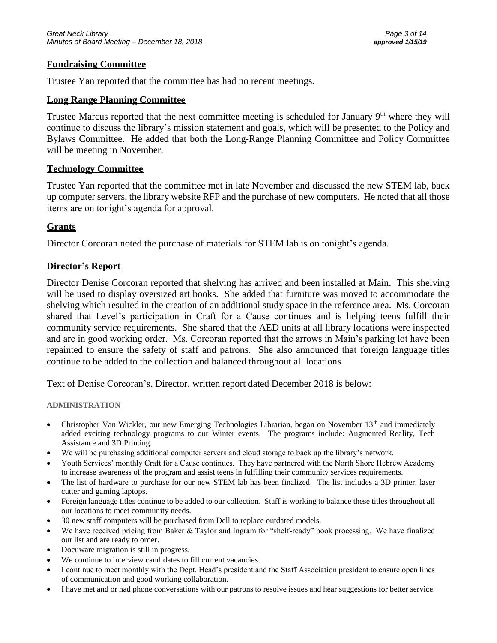#### **Fundraising Committee**

Trustee Yan reported that the committee has had no recent meetings.

#### **Long Range Planning Committee**

Trustee Marcus reported that the next committee meeting is scheduled for January  $9<sup>th</sup>$  where they will continue to discuss the library's mission statement and goals, which will be presented to the Policy and Bylaws Committee. He added that both the Long-Range Planning Committee and Policy Committee will be meeting in November.

#### **Technology Committee**

Trustee Yan reported that the committee met in late November and discussed the new STEM lab, back up computer servers, the library website RFP and the purchase of new computers. He noted that all those items are on tonight's agenda for approval.

#### **Grants**

Director Corcoran noted the purchase of materials for STEM lab is on tonight's agenda.

#### **Director's Report**

Director Denise Corcoran reported that shelving has arrived and been installed at Main. This shelving will be used to display oversized art books. She added that furniture was moved to accommodate the shelving which resulted in the creation of an additional study space in the reference area. Ms. Corcoran shared that Level's participation in Craft for a Cause continues and is helping teens fulfill their community service requirements. She shared that the AED units at all library locations were inspected and are in good working order. Ms. Corcoran reported that the arrows in Main's parking lot have been repainted to ensure the safety of staff and patrons. She also announced that foreign language titles continue to be added to the collection and balanced throughout all locations

Text of Denise Corcoran's, Director, written report dated December 2018 is below:

#### **ADMINISTRATION**

- Christopher Van Wickler, our new Emerging Technologies Librarian, began on November  $13<sup>th</sup>$  and immediately added exciting technology programs to our Winter events. The programs include: Augmented Reality, Tech Assistance and 3D Printing.
- We will be purchasing additional computer servers and cloud storage to back up the library's network.
- Youth Services' monthly Craft for a Cause continues. They have partnered with the North Shore Hebrew Academy to increase awareness of the program and assist teens in fulfilling their community services requirements.
- The list of hardware to purchase for our new STEM lab has been finalized. The list includes a 3D printer, laser cutter and gaming laptops.
- Foreign language titles continue to be added to our collection. Staff is working to balance these titles throughout all our locations to meet community needs.
- 30 new staff computers will be purchased from Dell to replace outdated models.
- We have received pricing from Baker & Taylor and Ingram for "shelf-ready" book processing. We have finalized our list and are ready to order.
- Docuware migration is still in progress.
- We continue to interview candidates to fill current vacancies.
- I continue to meet monthly with the Dept. Head's president and the Staff Association president to ensure open lines of communication and good working collaboration.
- I have met and or had phone conversations with our patrons to resolve issues and hear suggestions for better service.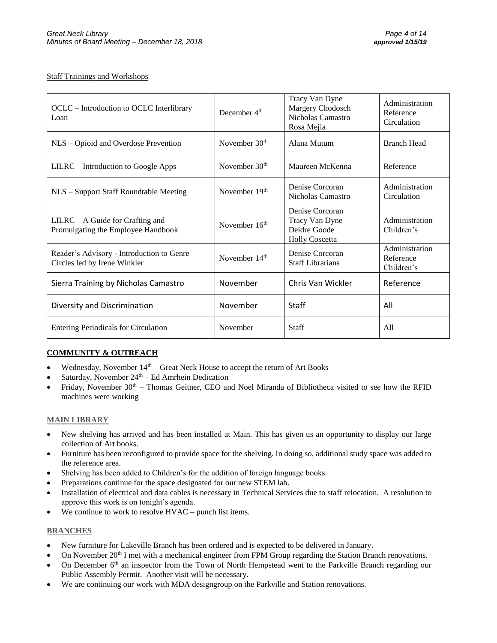#### Staff Trainings and Workshops

| OCLC – Introduction to OCLC Interlibrary<br>Loan                          | December $4th$            | Tracy Van Dyne<br>Margery Chodosch<br>Nicholas Camastro<br>Rosa Mejia      | Administration<br>Reference<br>Circulation |
|---------------------------------------------------------------------------|---------------------------|----------------------------------------------------------------------------|--------------------------------------------|
| NLS – Opioid and Overdose Prevention                                      | November 30 <sup>th</sup> | Alana Mutum                                                                | <b>Branch Head</b>                         |
| LILRC – Introduction to Google Apps                                       | November 30 <sup>th</sup> | Maureen McKenna                                                            | Reference                                  |
| NLS - Support Staff Roundtable Meeting                                    | November 19th             | Denise Corcoran<br>Nicholas Camastro                                       | Administration<br>Circulation              |
| $LILRC - A Guide for Craffing and$<br>Promulgating the Employee Handbook  | November 16 <sup>th</sup> | Denise Corcoran<br>Tracy Van Dyne<br>Deidre Goode<br><b>Holly Coscetta</b> | Administration<br>Children's               |
| Reader's Advisory - Introduction to Genre<br>Circles led by Irene Winkler | November 14 <sup>th</sup> | Denise Corcoran<br><b>Staff Librarians</b>                                 | Administration<br>Reference<br>Children's  |
| Sierra Training by Nicholas Camastro                                      | November                  | Chris Van Wickler                                                          | Reference                                  |
| Diversity and Discrimination                                              | November                  | <b>Staff</b>                                                               | All                                        |
| <b>Entering Periodicals for Circulation</b>                               | November                  | <b>Staff</b>                                                               | A11                                        |

#### **COMMUNITY & OUTREACH**

- Wednesday, November  $14<sup>th</sup>$  Great Neck House to accept the return of Art Books
- Saturday, November  $24<sup>th</sup> Ed$  Amrhein Dedication
- Friday, November  $30<sup>th</sup>$  Thomas Geitner, CEO and Noel Miranda of Bibliotheca visited to see how the RFID machines were working

#### **MAIN LIBRARY**

- New shelving has arrived and has been installed at Main. This has given us an opportunity to display our large collection of Art books.
- Furniture has been reconfigured to provide space for the shelving. In doing so, additional study space was added to the reference area.
- Shelving has been added to Children's for the addition of foreign language books.
- Preparations continue for the space designated for our new STEM lab.
- Installation of electrical and data cables is necessary in Technical Services due to staff relocation. A resolution to approve this work is on tonight's agenda.
- We continue to work to resolve  $HVAC$  punch list items.

#### **BRANCHES**

- New furniture for Lakeville Branch has been ordered and is expected to be delivered in January.
- On November 20<sup>th</sup> I met with a mechanical engineer from FPM Group regarding the Station Branch renovations.
- On December 6<sup>th</sup> an inspector from the Town of North Hempstead went to the Parkville Branch regarding our Public Assembly Permit. Another visit will be necessary.
- We are continuing our work with MDA designgroup on the Parkville and Station renovations.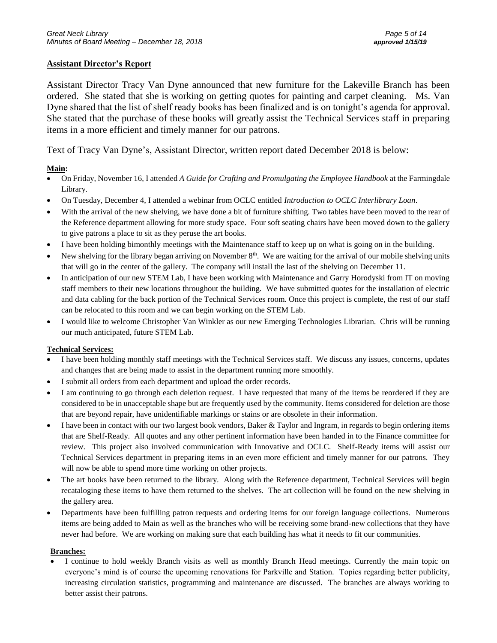#### **Assistant Director's Report**

Assistant Director Tracy Van Dyne announced that new furniture for the Lakeville Branch has been ordered. She stated that she is working on getting quotes for painting and carpet cleaning. Ms. Van Dyne shared that the list of shelf ready books has been finalized and is on tonight's agenda for approval. She stated that the purchase of these books will greatly assist the Technical Services staff in preparing items in a more efficient and timely manner for our patrons.

Text of Tracy Van Dyne's, Assistant Director, written report dated December 2018 is below:

#### **Main:**

- On Friday, November 16, I attended *A Guide for Crafting and Promulgating the Employee Handbook* at the Farmingdale Library.
- On Tuesday, December 4, I attended a webinar from OCLC entitled *Introduction to OCLC Interlibrary Loan*.
- With the arrival of the new shelving, we have done a bit of furniture shifting. Two tables have been moved to the rear of the Reference department allowing for more study space. Four soft seating chairs have been moved down to the gallery to give patrons a place to sit as they peruse the art books.
- I have been holding bimonthly meetings with the Maintenance staff to keep up on what is going on in the building.
- New shelving for the library began arriving on November  $8<sup>th</sup>$ . We are waiting for the arrival of our mobile shelving units that will go in the center of the gallery. The company will install the last of the shelving on December 11.
- In anticipation of our new STEM Lab, I have been working with Maintenance and Garry Horodyski from IT on moving staff members to their new locations throughout the building. We have submitted quotes for the installation of electric and data cabling for the back portion of the Technical Services room. Once this project is complete, the rest of our staff can be relocated to this room and we can begin working on the STEM Lab.
- I would like to welcome Christopher Van Winkler as our new Emerging Technologies Librarian. Chris will be running our much anticipated, future STEM Lab.

#### **Technical Services:**

- I have been holding monthly staff meetings with the Technical Services staff. We discuss any issues, concerns, updates and changes that are being made to assist in the department running more smoothly.
- I submit all orders from each department and upload the order records.
- I am continuing to go through each deletion request. I have requested that many of the items be reordered if they are considered to be in unacceptable shape but are frequently used by the community. Items considered for deletion are those that are beyond repair, have unidentifiable markings or stains or are obsolete in their information.
- $\bullet$  I have been in contact with our two largest book vendors, Baker & Taylor and Ingram, in regards to begin ordering items that are Shelf-Ready. All quotes and any other pertinent information have been handed in to the Finance committee for review. This project also involved communication with Innovative and OCLC. Shelf-Ready items will assist our Technical Services department in preparing items in an even more efficient and timely manner for our patrons. They will now be able to spend more time working on other projects.
- The art books have been returned to the library. Along with the Reference department, Technical Services will begin recataloging these items to have them returned to the shelves. The art collection will be found on the new shelving in the gallery area.
- Departments have been fulfilling patron requests and ordering items for our foreign language collections. Numerous items are being added to Main as well as the branches who will be receiving some brand-new collections that they have never had before. We are working on making sure that each building has what it needs to fit our communities.

#### **Branches:**

• I continue to hold weekly Branch visits as well as monthly Branch Head meetings. Currently the main topic on everyone's mind is of course the upcoming renovations for Parkville and Station. Topics regarding better publicity, increasing circulation statistics, programming and maintenance are discussed. The branches are always working to better assist their patrons.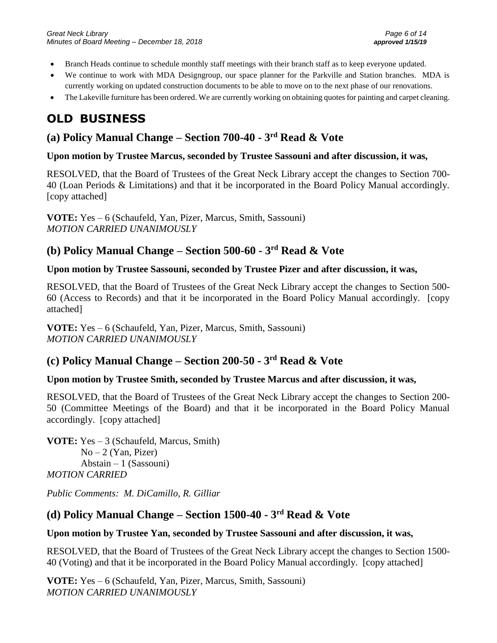- Branch Heads continue to schedule monthly staff meetings with their branch staff as to keep everyone updated.
- We continue to work with MDA Designgroup, our space planner for the Parkville and Station branches. MDA is currently working on updated construction documents to be able to move on to the next phase of our renovations.
- The Lakeville furniture has been ordered. We are currently working on obtaining quotes for painting and carpet cleaning.

# **OLD BUSINESS**

## **(a) Policy Manual Change – Section 700-40 - 3 rd Read & Vote**

#### **Upon motion by Trustee Marcus, seconded by Trustee Sassouni and after discussion, it was,**

RESOLVED, that the Board of Trustees of the Great Neck Library accept the changes to Section 700- 40 (Loan Periods & Limitations) and that it be incorporated in the Board Policy Manual accordingly. [copy attached]

**VOTE:** Yes – 6 (Schaufeld, Yan, Pizer, Marcus, Smith, Sassouni) *MOTION CARRIED UNANIMOUSLY*

### **(b) Policy Manual Change – Section 500-60 - 3 rd Read & Vote**

#### **Upon motion by Trustee Sassouni, seconded by Trustee Pizer and after discussion, it was,**

RESOLVED, that the Board of Trustees of the Great Neck Library accept the changes to Section 500- 60 (Access to Records) and that it be incorporated in the Board Policy Manual accordingly. [copy attached]

**VOTE:** Yes – 6 (Schaufeld, Yan, Pizer, Marcus, Smith, Sassouni) *MOTION CARRIED UNANIMOUSLY*

### **(c) Policy Manual Change – Section 200-50 - 3 rd Read & Vote**

### **Upon motion by Trustee Smith, seconded by Trustee Marcus and after discussion, it was,**

RESOLVED, that the Board of Trustees of the Great Neck Library accept the changes to Section 200- 50 (Committee Meetings of the Board) and that it be incorporated in the Board Policy Manual accordingly. [copy attached]

**VOTE:** Yes – 3 (Schaufeld, Marcus, Smith)  $No-2$  (Yan, Pizer)  $Abstain - 1$  (Sassouni) *MOTION CARRIED*

*Public Comments: M. DiCamillo, R. Gilliar*

### **(d) Policy Manual Change – Section 1500-40 - 3 rd Read & Vote**

### **Upon motion by Trustee Yan, seconded by Trustee Sassouni and after discussion, it was,**

RESOLVED, that the Board of Trustees of the Great Neck Library accept the changes to Section 1500- 40 (Voting) and that it be incorporated in the Board Policy Manual accordingly. [copy attached]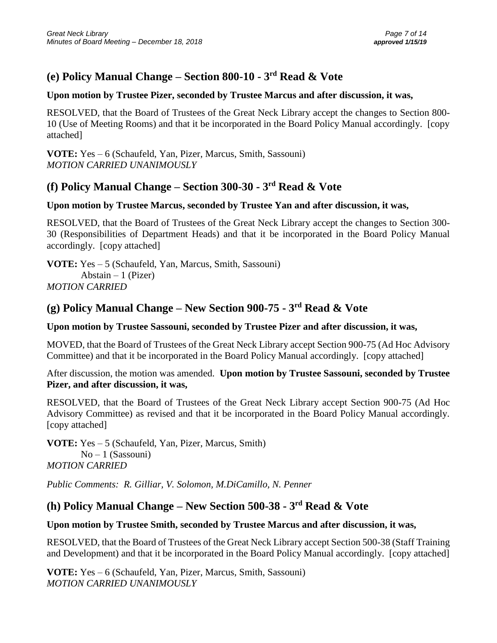## **(e) Policy Manual Change – Section 800-10 - 3 rd Read & Vote**

#### **Upon motion by Trustee Pizer, seconded by Trustee Marcus and after discussion, it was,**

RESOLVED, that the Board of Trustees of the Great Neck Library accept the changes to Section 800- 10 (Use of Meeting Rooms) and that it be incorporated in the Board Policy Manual accordingly. [copy attached]

**VOTE:** Yes – 6 (Schaufeld, Yan, Pizer, Marcus, Smith, Sassouni) *MOTION CARRIED UNANIMOUSLY*

### **(f) Policy Manual Change – Section 300-30 - 3 rd Read & Vote**

#### **Upon motion by Trustee Marcus, seconded by Trustee Yan and after discussion, it was,**

RESOLVED, that the Board of Trustees of the Great Neck Library accept the changes to Section 300- 30 (Responsibilities of Department Heads) and that it be incorporated in the Board Policy Manual accordingly. [copy attached]

**VOTE:** Yes – 5 (Schaufeld, Yan, Marcus, Smith, Sassouni) Abstain  $-1$  (Pizer) *MOTION CARRIED* 

### **(g) Policy Manual Change – New Section 900-75 - 3 rd Read & Vote**

#### **Upon motion by Trustee Sassouni, seconded by Trustee Pizer and after discussion, it was,**

MOVED, that the Board of Trustees of the Great Neck Library accept Section 900-75 (Ad Hoc Advisory Committee) and that it be incorporated in the Board Policy Manual accordingly. [copy attached]

After discussion, the motion was amended. **Upon motion by Trustee Sassouni, seconded by Trustee Pizer, and after discussion, it was,**

RESOLVED, that the Board of Trustees of the Great Neck Library accept Section 900-75 (Ad Hoc Advisory Committee) as revised and that it be incorporated in the Board Policy Manual accordingly. [copy attached]

**VOTE:** Yes – 5 (Schaufeld, Yan, Pizer, Marcus, Smith)  $No-1$  (Sassouni) *MOTION CARRIED*

*Public Comments: R. Gilliar, V. Solomon, M.DiCamillo, N. Penner*

### **(h) Policy Manual Change – New Section 500-38 - 3 rd Read & Vote**

### **Upon motion by Trustee Smith, seconded by Trustee Marcus and after discussion, it was,**

RESOLVED, that the Board of Trustees of the Great Neck Library accept Section 500-38 (Staff Training and Development) and that it be incorporated in the Board Policy Manual accordingly. [copy attached]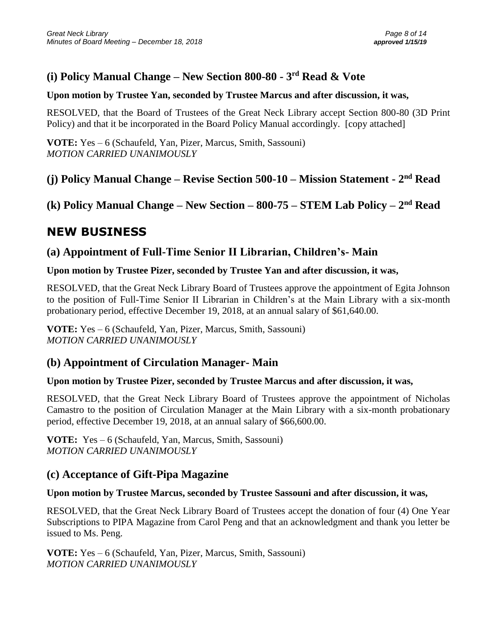## **(i) Policy Manual Change – New Section 800-80 - 3 rd Read & Vote**

#### **Upon motion by Trustee Yan, seconded by Trustee Marcus and after discussion, it was,**

RESOLVED, that the Board of Trustees of the Great Neck Library accept Section 800-80 (3D Print Policy) and that it be incorporated in the Board Policy Manual accordingly. [copy attached]

**VOTE:** Yes – 6 (Schaufeld, Yan, Pizer, Marcus, Smith, Sassouni) *MOTION CARRIED UNANIMOUSLY*

### **(j) Policy Manual Change – Revise Section 500-10 – Mission Statement - 2 nd Read**

**(k) Policy Manual Change – New Section – 800-75 – STEM Lab Policy – 2 nd Read**

# **NEW BUSINESS**

### **(a) Appointment of Full-Time Senior II Librarian, Children's- Main**

### **Upon motion by Trustee Pizer, seconded by Trustee Yan and after discussion, it was,**

RESOLVED, that the Great Neck Library Board of Trustees approve the appointment of Egita Johnson to the position of Full-Time Senior II Librarian in Children's at the Main Library with a six-month probationary period, effective December 19, 2018, at an annual salary of \$61,640.00.

**VOTE:** Yes – 6 (Schaufeld, Yan, Pizer, Marcus, Smith, Sassouni) *MOTION CARRIED UNANIMOUSLY*

### **(b) Appointment of Circulation Manager- Main**

### **Upon motion by Trustee Pizer, seconded by Trustee Marcus and after discussion, it was,**

RESOLVED, that the Great Neck Library Board of Trustees approve the appointment of Nicholas Camastro to the position of Circulation Manager at the Main Library with a six-month probationary period, effective December 19, 2018, at an annual salary of \$66,600.00.

**VOTE:** Yes – 6 (Schaufeld, Yan, Marcus, Smith, Sassouni) *MOTION CARRIED UNANIMOUSLY*

### **(c) Acceptance of Gift-Pipa Magazine**

### **Upon motion by Trustee Marcus, seconded by Trustee Sassouni and after discussion, it was,**

RESOLVED, that the Great Neck Library Board of Trustees accept the donation of four (4) One Year Subscriptions to PIPA Magazine from Carol Peng and that an acknowledgment and thank you letter be issued to Ms. Peng.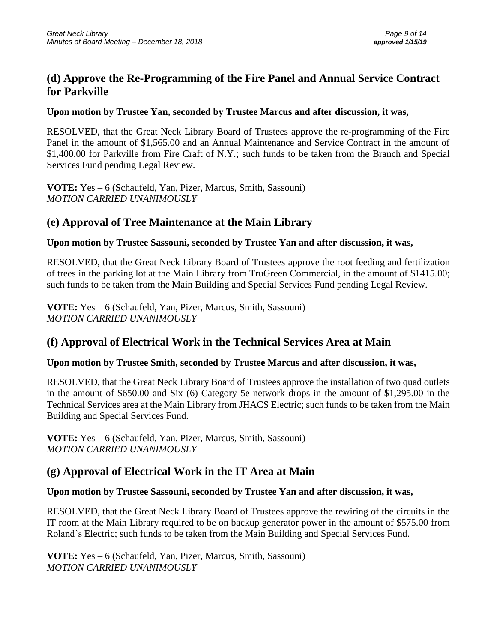### **(d) Approve the Re-Programming of the Fire Panel and Annual Service Contract for Parkville**

### **Upon motion by Trustee Yan, seconded by Trustee Marcus and after discussion, it was,**

RESOLVED, that the Great Neck Library Board of Trustees approve the re-programming of the Fire Panel in the amount of \$1,565.00 and an Annual Maintenance and Service Contract in the amount of \$1,400.00 for Parkville from Fire Craft of N.Y.; such funds to be taken from the Branch and Special Services Fund pending Legal Review.

**VOTE:** Yes – 6 (Schaufeld, Yan, Pizer, Marcus, Smith, Sassouni) *MOTION CARRIED UNANIMOUSLY*

## **(e) Approval of Tree Maintenance at the Main Library**

### **Upon motion by Trustee Sassouni, seconded by Trustee Yan and after discussion, it was,**

RESOLVED, that the Great Neck Library Board of Trustees approve the root feeding and fertilization of trees in the parking lot at the Main Library from TruGreen Commercial, in the amount of \$1415.00; such funds to be taken from the Main Building and Special Services Fund pending Legal Review.

**VOTE:** Yes – 6 (Schaufeld, Yan, Pizer, Marcus, Smith, Sassouni) *MOTION CARRIED UNANIMOUSLY*

### **(f) Approval of Electrical Work in the Technical Services Area at Main**

### **Upon motion by Trustee Smith, seconded by Trustee Marcus and after discussion, it was,**

RESOLVED, that the Great Neck Library Board of Trustees approve the installation of two quad outlets in the amount of \$650.00 and Six (6) Category 5e network drops in the amount of \$1,295.00 in the Technical Services area at the Main Library from JHACS Electric; such funds to be taken from the Main Building and Special Services Fund.

**VOTE:** Yes – 6 (Schaufeld, Yan, Pizer, Marcus, Smith, Sassouni) *MOTION CARRIED UNANIMOUSLY*

## **(g) Approval of Electrical Work in the IT Area at Main**

### **Upon motion by Trustee Sassouni, seconded by Trustee Yan and after discussion, it was,**

RESOLVED, that the Great Neck Library Board of Trustees approve the rewiring of the circuits in the IT room at the Main Library required to be on backup generator power in the amount of \$575.00 from Roland's Electric; such funds to be taken from the Main Building and Special Services Fund.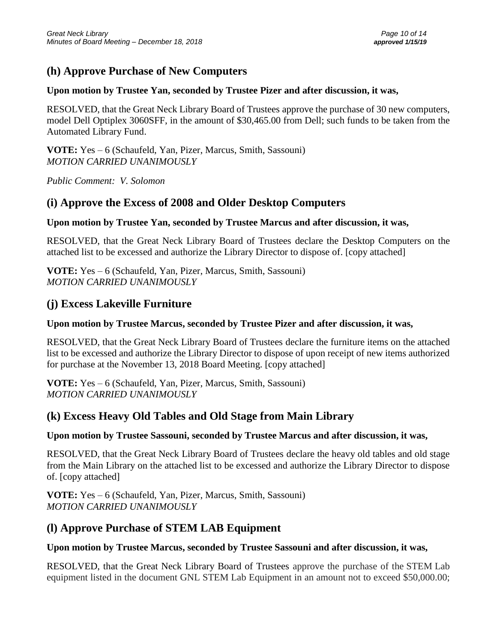## **(h) Approve Purchase of New Computers**

#### **Upon motion by Trustee Yan, seconded by Trustee Pizer and after discussion, it was,**

RESOLVED, that the Great Neck Library Board of Trustees approve the purchase of 30 new computers, model Dell Optiplex 3060SFF, in the amount of \$30,465.00 from Dell; such funds to be taken from the Automated Library Fund.

**VOTE:** Yes – 6 (Schaufeld, Yan, Pizer, Marcus, Smith, Sassouni) *MOTION CARRIED UNANIMOUSLY*

*Public Comment: V. Solomon*

### **(i) Approve the Excess of 2008 and Older Desktop Computers**

#### **Upon motion by Trustee Yan, seconded by Trustee Marcus and after discussion, it was,**

RESOLVED, that the Great Neck Library Board of Trustees declare the Desktop Computers on the attached list to be excessed and authorize the Library Director to dispose of. [copy attached]

**VOTE:** Yes – 6 (Schaufeld, Yan, Pizer, Marcus, Smith, Sassouni) *MOTION CARRIED UNANIMOUSLY*

### **(j) Excess Lakeville Furniture**

#### **Upon motion by Trustee Marcus, seconded by Trustee Pizer and after discussion, it was,**

RESOLVED, that the Great Neck Library Board of Trustees declare the furniture items on the attached list to be excessed and authorize the Library Director to dispose of upon receipt of new items authorized for purchase at the November 13, 2018 Board Meeting. [copy attached]

**VOTE:** Yes – 6 (Schaufeld, Yan, Pizer, Marcus, Smith, Sassouni) *MOTION CARRIED UNANIMOUSLY*

### **(k) Excess Heavy Old Tables and Old Stage from Main Library**

### **Upon motion by Trustee Sassouni, seconded by Trustee Marcus and after discussion, it was,**

RESOLVED, that the Great Neck Library Board of Trustees declare the heavy old tables and old stage from the Main Library on the attached list to be excessed and authorize the Library Director to dispose of. [copy attached]

**VOTE:** Yes – 6 (Schaufeld, Yan, Pizer, Marcus, Smith, Sassouni) *MOTION CARRIED UNANIMOUSLY*

### **(l) Approve Purchase of STEM LAB Equipment**

#### **Upon motion by Trustee Marcus, seconded by Trustee Sassouni and after discussion, it was,**

RESOLVED, that the Great Neck Library Board of Trustees approve the purchase of the STEM Lab equipment listed in the document GNL STEM Lab Equipment in an amount not to exceed \$50,000.00;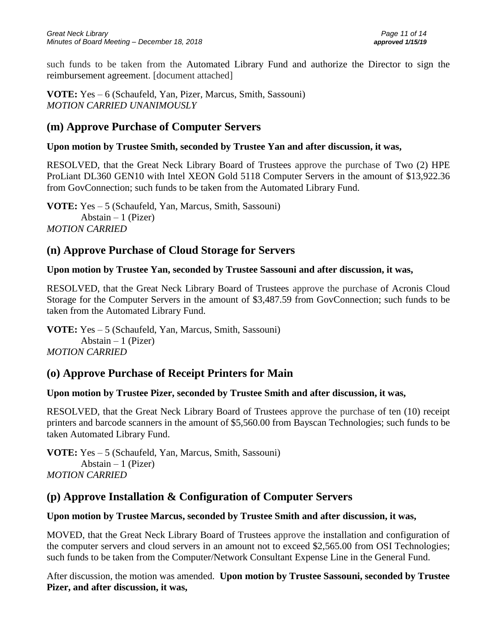such funds to be taken from the Automated Library Fund and authorize the Director to sign the reimbursement agreement. [document attached]

**VOTE:** Yes – 6 (Schaufeld, Yan, Pizer, Marcus, Smith, Sassouni) *MOTION CARRIED UNANIMOUSLY*

### **(m) Approve Purchase of Computer Servers**

#### **Upon motion by Trustee Smith, seconded by Trustee Yan and after discussion, it was,**

RESOLVED, that the Great Neck Library Board of Trustees approve the purchase of Two (2) HPE ProLiant DL360 GEN10 with Intel XEON Gold 5118 Computer Servers in the amount of \$13,922.36 from GovConnection; such funds to be taken from the Automated Library Fund.

**VOTE:** Yes – 5 (Schaufeld, Yan, Marcus, Smith, Sassouni) Abstain  $-1$  (Pizer) *MOTION CARRIED* 

### **(n) Approve Purchase of Cloud Storage for Servers**

#### **Upon motion by Trustee Yan, seconded by Trustee Sassouni and after discussion, it was,**

RESOLVED, that the Great Neck Library Board of Trustees approve the purchase of Acronis Cloud Storage for the Computer Servers in the amount of \$3,487.59 from GovConnection; such funds to be taken from the Automated Library Fund.

**VOTE:** Yes – 5 (Schaufeld, Yan, Marcus, Smith, Sassouni) Abstain  $-1$  (Pizer) *MOTION CARRIED* 

### **(o) Approve Purchase of Receipt Printers for Main**

### **Upon motion by Trustee Pizer, seconded by Trustee Smith and after discussion, it was,**

RESOLVED, that the Great Neck Library Board of Trustees approve the purchase of ten (10) receipt printers and barcode scanners in the amount of \$5,560.00 from Bayscan Technologies; such funds to be taken Automated Library Fund.

**VOTE:** Yes – 5 (Schaufeld, Yan, Marcus, Smith, Sassouni) Abstain  $-1$  (Pizer) *MOTION CARRIED* 

### **(p) Approve Installation & Configuration of Computer Servers**

### **Upon motion by Trustee Marcus, seconded by Trustee Smith and after discussion, it was,**

MOVED, that the Great Neck Library Board of Trustees approve the installation and configuration of the computer servers and cloud servers in an amount not to exceed \$2,565.00 from OSI Technologies; such funds to be taken from the Computer/Network Consultant Expense Line in the General Fund.

After discussion, the motion was amended. **Upon motion by Trustee Sassouni, seconded by Trustee Pizer, and after discussion, it was,**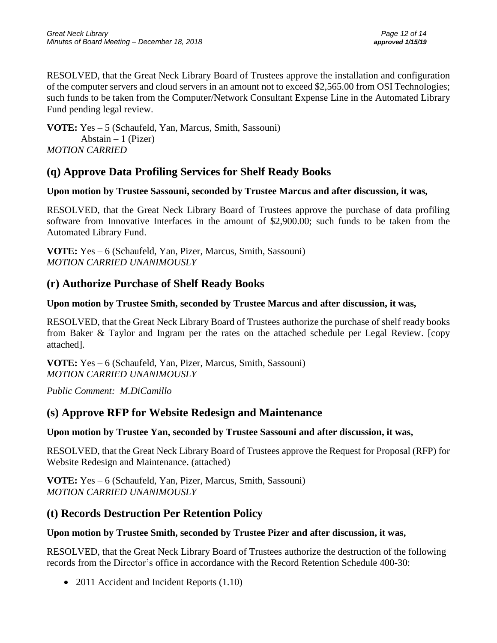RESOLVED, that the Great Neck Library Board of Trustees approve the installation and configuration of the computer servers and cloud servers in an amount not to exceed \$2,565.00 from OSI Technologies; such funds to be taken from the Computer/Network Consultant Expense Line in the Automated Library Fund pending legal review.

**VOTE:** Yes – 5 (Schaufeld, Yan, Marcus, Smith, Sassouni) Abstain  $-1$  (Pizer) *MOTION CARRIED* 

### **(q) Approve Data Profiling Services for Shelf Ready Books**

### **Upon motion by Trustee Sassouni, seconded by Trustee Marcus and after discussion, it was,**

RESOLVED, that the Great Neck Library Board of Trustees approve the purchase of data profiling software from Innovative Interfaces in the amount of \$2,900.00; such funds to be taken from the Automated Library Fund.

**VOTE:** Yes – 6 (Schaufeld, Yan, Pizer, Marcus, Smith, Sassouni) *MOTION CARRIED UNANIMOUSLY*

## **(r) Authorize Purchase of Shelf Ready Books**

### **Upon motion by Trustee Smith, seconded by Trustee Marcus and after discussion, it was,**

RESOLVED, that the Great Neck Library Board of Trustees authorize the purchase of shelf ready books from Baker & Taylor and Ingram per the rates on the attached schedule per Legal Review. [copy attached].

**VOTE:** Yes – 6 (Schaufeld, Yan, Pizer, Marcus, Smith, Sassouni) *MOTION CARRIED UNANIMOUSLY*

*Public Comment: M.DiCamillo*

### **(s) Approve RFP for Website Redesign and Maintenance**

### **Upon motion by Trustee Yan, seconded by Trustee Sassouni and after discussion, it was,**

RESOLVED, that the Great Neck Library Board of Trustees approve the Request for Proposal (RFP) for Website Redesign and Maintenance. (attached)

**VOTE:** Yes – 6 (Schaufeld, Yan, Pizer, Marcus, Smith, Sassouni) *MOTION CARRIED UNANIMOUSLY*

### **(t) Records Destruction Per Retention Policy**

### **Upon motion by Trustee Smith, seconded by Trustee Pizer and after discussion, it was,**

RESOLVED, that the Great Neck Library Board of Trustees authorize the destruction of the following records from the Director's office in accordance with the Record Retention Schedule 400-30:

• 2011 Accident and Incident Reports  $(1.10)$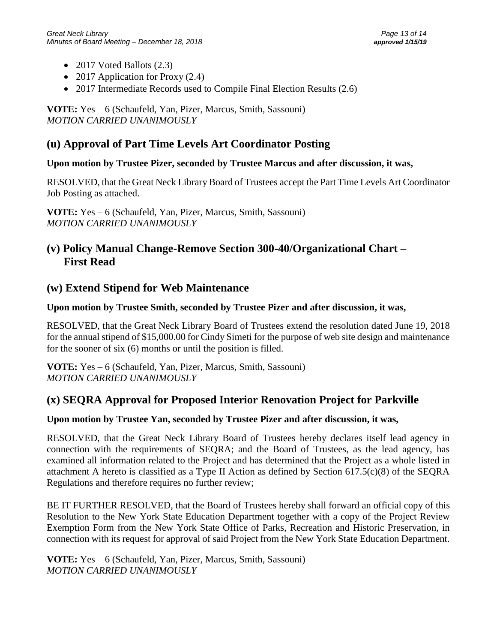- 2017 Voted Ballots (2.3)
- 2017 Application for Proxy (2.4)
- 2017 Intermediate Records used to Compile Final Election Results (2.6)

**VOTE:** Yes – 6 (Schaufeld, Yan, Pizer, Marcus, Smith, Sassouni) *MOTION CARRIED UNANIMOUSLY*

### **(u) Approval of Part Time Levels Art Coordinator Posting**

### **Upon motion by Trustee Pizer, seconded by Trustee Marcus and after discussion, it was,**

RESOLVED, that the Great Neck Library Board of Trustees accept the Part Time Levels Art Coordinator Job Posting as attached.

**VOTE:** Yes – 6 (Schaufeld, Yan, Pizer, Marcus, Smith, Sassouni) *MOTION CARRIED UNANIMOUSLY*

### **(v) Policy Manual Change-Remove Section 300-40/Organizational Chart – First Read**

### **(w) Extend Stipend for Web Maintenance**

#### **Upon motion by Trustee Smith, seconded by Trustee Pizer and after discussion, it was,**

RESOLVED, that the Great Neck Library Board of Trustees extend the resolution dated June 19, 2018 for the annual stipend of \$15,000.00 for Cindy Simeti for the purpose of web site design and maintenance for the sooner of six (6) months or until the position is filled.

**VOTE:** Yes – 6 (Schaufeld, Yan, Pizer, Marcus, Smith, Sassouni) *MOTION CARRIED UNANIMOUSLY*

### **(x) SEQRA Approval for Proposed Interior Renovation Project for Parkville**

### **Upon motion by Trustee Yan, seconded by Trustee Pizer and after discussion, it was,**

RESOLVED, that the Great Neck Library Board of Trustees hereby declares itself lead agency in connection with the requirements of SEQRA; and the Board of Trustees, as the lead agency, has examined all information related to the Project and has determined that the Project as a whole listed in attachment A hereto is classified as a Type II Action as defined by Section 617.5(c)(8) of the SEQRA Regulations and therefore requires no further review;

BE IT FURTHER RESOLVED, that the Board of Trustees hereby shall forward an official copy of this Resolution to the New York State Education Department together with a copy of the Project Review Exemption Form from the New York State Office of Parks, Recreation and Historic Preservation, in connection with its request for approval of said Project from the New York State Education Department.